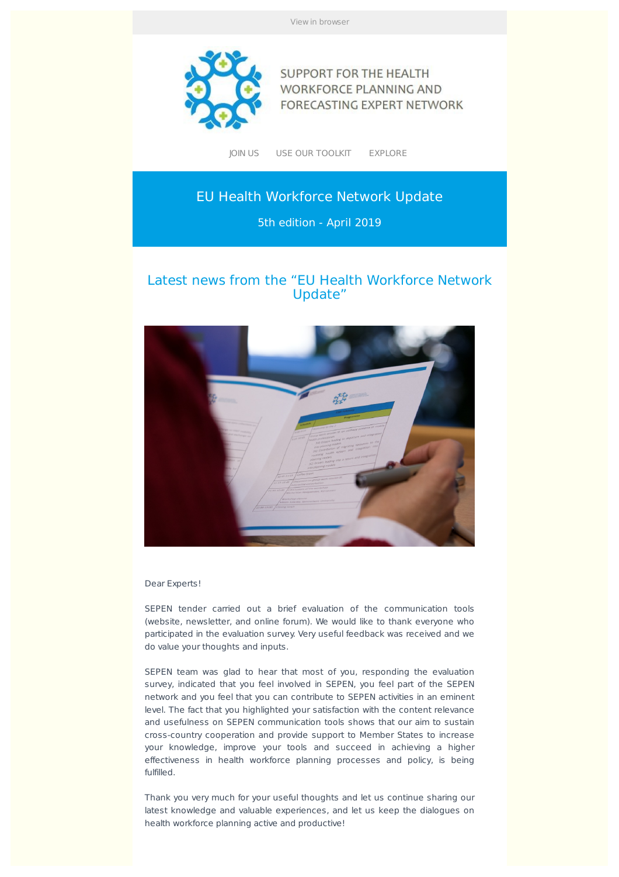View in browser



**SUPPORT FOR THE HEALTH WORKFORCE PLANNING AND** FORECASTING EXPERT NETWORK

JOIN US USE OUR TOOLKIT EXPLORE

# EU Health Workforce Network Update

5th edition - April 2019

# Latest news from the "EU Health Workforce Network Update"



Dear Experts!

SEPEN tender carried out a brief evaluation of the communication tools (website, newsletter, and online forum). We would like to thank everyone who participated in the evaluation survey. Very useful feedback was received and we do value your thoughts and inputs.

SEPEN team was glad to hear that most of you, responding the evaluation survey, indicated that you feel involved in SEPEN, you feel part of the SEPEN network and you feel that you can contribute to SEPEN activities in an eminent level. The fact that you highlighted your satisfaction with the content relevance and usefulness on SEPEN communication tools shows that our aim to sustain cross-country cooperation and provide support to Member States to increase your knowledge, improve your tools and succeed in achieving a higher effectiveness in health workforce planning processes and policy, is being fulfilled.

Thank you very much for your useful thoughts and let us continue sharing our latest knowledge and valuable experiences, and let us keep the dialogues on health workforce planning active and productive!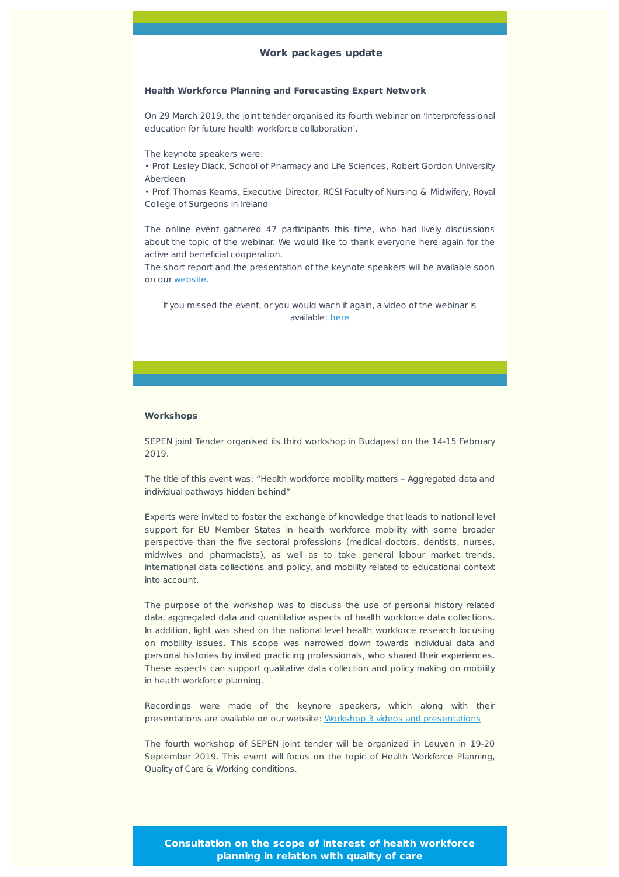# **Work packages update**

#### **Health Workforce Planning and Forecasting Expert Network**

On 29 March 2019, the joint tender organised its fourth webinar on 'Interprofessional education for future health workforce collaboration'.

The keynote speakers were:

• Prof. Lesley Diack, School of Pharmacy and Life Sciences, Robert Gordon University Aberdeen

• Prof. Thomas Kearns, Executive Director, RCSI Faculty of Nursing & Midwifery, Royal College of Surgeons in Ireland

The online event gathered 47 participants this time, who had lively discussions about the topic of the webinar. We would like to thank everyone here again for the active and beneficial cooperation.

The short report and the presentation of the keynote speakers will be available soon on our website.

If you missed the event, or you would wach it again, a video of the webinar is available: here

#### **Workshops**

SEPEN joint Tender organised its third workshop in Budapest on the 14-15 February 2019.

The title of this event was: "Health workforce mobility matters – Aggregated data and individual pathways hidden behind"

Experts were invited to foster the exchange of knowledge that leads to national level support for EU Member States in health workforce mobility with some broader perspective than the five sectoral professions (medical doctors, dentists, nurses, midwives and pharmacists), as well as to take general labour market trends, international data collections and policy, and mobility related to educational context into account.

The purpose of the workshop was to discuss the use of personal history related data, aggregated data and quantitative aspects of health workforce data collections. In addition, light was shed on the national level health workforce research focusing on mobility issues. This scope was narrowed down towards individual data and personal histories by invited practicing professionals, who shared their experiences. These aspects can support qualitative data collection and policy making on mobility in health workforce planning.

Recordings were made of the keynore speakers, which along with their presentations are available on our website: Workshop 3 videos and presentations

The fourth workshop of SEPEN joint tender will be organized in Leuven in 19-20 September 2019. This event will focus on the topic of Health Workforce Planning, Quality of Care & Working conditions.

**Consultation on the scope of interest of health workforce planning in relation with quality of care**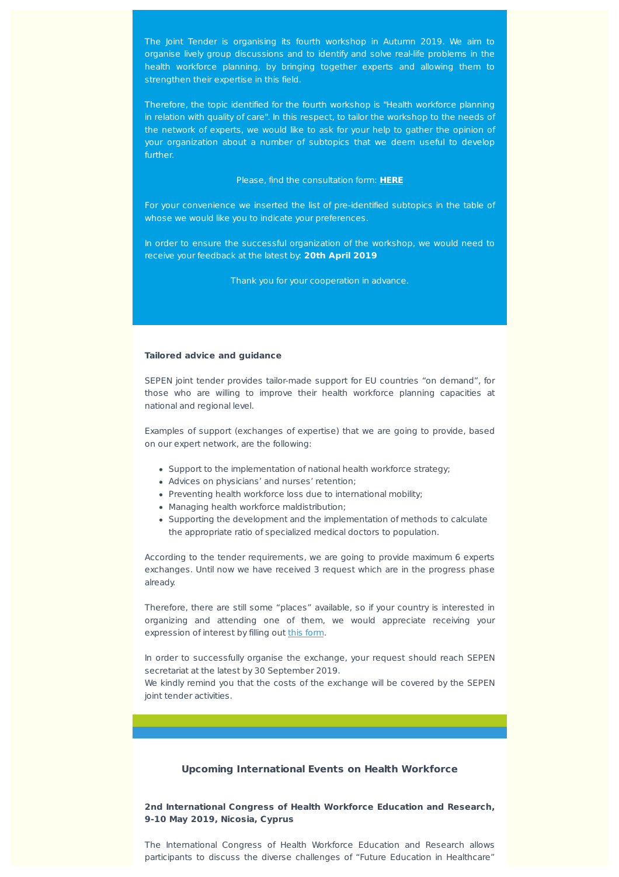The Joint Tender is organising its fourth workshop in Autumn 2019. We aim to organise lively group discussions and to identify and solve real-life problems in the health workforce planning, by bringing together experts and allowing them to strengthen their expertise in this field.

Therefore, the topic identified for the fourth workshop is "Health workforce planning in relation with quality of care". In this respect, to tailor the workshop to the needs of the network of experts, we would like to ask for your help to gather the opinion of your organization about a number of subtopics that we deem useful to develop further.

Please, find the consultation form: **HERE**

For your convenience we inserted the list of pre-identified subtopics in the table of whose we would like you to indicate your preferences.

In order to ensure the successful organization of the workshop, we would need to receive your feedback at the latest by: **20th April 2019**

Thank you for your cooperation in advance.

#### **Tailored advice and guidance**

SEPEN joint tender provides tailor-made support for EU countries "on demand", for those who are willing to improve their health workforce planning capacities at national and regional level.

Examples of support (exchanges of expertise) that we are going to provide, based on our expert network, are the following:

- Support to the implementation of national health workforce strategy;
- Advices on physicians' and nurses' retention;
- Preventing health workforce loss due to international mobility;
- Managing health workforce maldistribution;
- Supporting the development and the implementation of methods to calculate the appropriate ratio of specialized medical doctors to population.

According to the tender requirements, we are going to provide maximum 6 experts exchanges. Until now we have received 3 request which are in the progress phase already.

Therefore, there are still some "places" available, so if your country is interested in organizing and attending one of them, we would appreciate receiving your expression of interest by filling out this form.

In order to successfully organise the exchange, your request should reach SEPEN secretariat at the latest by 30 September 2019.

We kindly remind you that the costs of the exchange will be covered by the SEPEN joint tender activities.

# **Upcoming International Events on Health Workforce**

**2nd International Congress of Health Workforce Education and Research, 9-10 May 2019, Nicosia, Cyprus**

The International Congress of Health Workforce Education and Research allows participants to discuss the diverse challenges of "Future Education in Healthcare"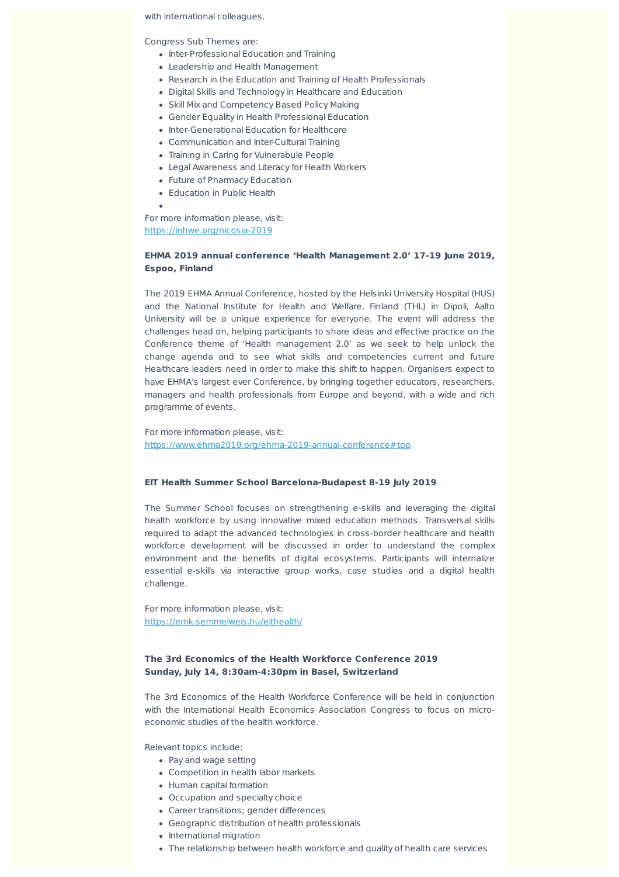#### with international colleagues.

Congress Sub Themes are:

- Inter-Professional Education and Training
- Leadership and Health Management
- Research in the Education and Training of Health Professionals
- Digital Skills and Technology in Healthcare and Education
- Skill Mix and Competency Based Policy Making
- Gender Equality in Health Professional Education
- Inter-Generational Education for Healthcare
- Communication and Inter-Cultural Training
- Training in Caring for Vulnerabule People
- Legal Awareness and Literacy for Health Workers
- Future of Pharmacy Education
- Education in Public Health

For more information please, visit: https://inhwe.org/nicosia-2019

# **EHMA 2019 annual conference 'Health Management 2.0' 17-19 June 2019, Espoo, Finland**

The 2019 EHMA Annual Conference, hosted by the Helsinki University Hospital (HUS) and the National Institute for Health and Welfare, Finland (THL) in Dipoli, Aalto University will be a unique experience for everyone. The event will address the challenges head on, helping participants to share ideas and effective practice on the Conference theme of 'Health management 2.0' as we seek to help unlock the change agenda and to see what skills and competencies current and future Healthcare leaders need in order to make this shift to happen. Organisers expect to have EHMA's largest ever Conference, by bringing together educators, researchers, managers and health professionals from Europe and beyond, with a wide and rich programme of events.

For more information please, visit: https://www.ehma2019.org/ehma-2019-annual-conference#top

#### **EIT Health Summer School Barcelona-Budapest 8-19 July 2019**

The Summer School focuses on strengthening e-skills and leveraging the digital health workforce by using innovative mixed education methods. Transversal skills required to adapt the advanced technologies in cross-border healthcare and health workforce development will be discussed in order to understand the complex environment and the benefits of digital ecosystems. Participants will internalize essential e-skills via interactive group works, case studies and a digital health challenge.

For more information please, visit: https://emk.semmelweis.hu/eithealth/

# **The 3rd Economics of the Health Workforce Conference 2019 Sunday, July 14, 8:30am-4:30pm in Basel, Switzerland**

The 3rd Economics of the Health Workforce Conference will be held in conjunction with the International Health Economics Association Congress to focus on microeconomic studies of the health workforce.

Relevant topics include:

- Pay and wage setting
- Competition in health labor markets
- Human capital formation
- Occupation and specialty choice
- Career transitions; gender differences
- Geographic distribution of health professionals
- International migration
- The relationship between health workforce and quality of health care services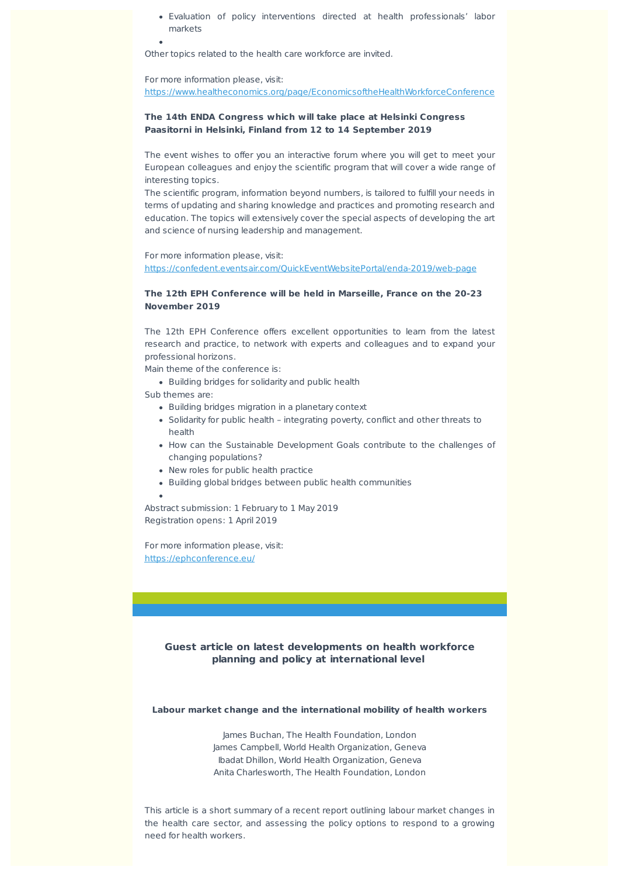Evaluation of policy interventions directed at health professionals' labor markets

Other topics related to the health care workforce are invited.

For more information please, visit:

https://www.healtheconomics.org/page/EconomicsoftheHealthWorkforceConference

## **The 14th ENDA Congress which will take place at Helsinki Congress Paasitorni in Helsinki, Finland from 12 to 14 September 2019**

The event wishes to offer you an interactive forum where you will get to meet your European colleagues and enjoy the scientific program that will cover a wide range of interesting topics.

The scientific program, information beyond numbers, is tailored to fulfill your needs in terms of updating and sharing knowledge and practices and promoting research and education. The topics will extensively cover the special aspects of developing the art and science of nursing leadership and management.

For more information please, visit: https://confedent.eventsair.com/QuickEventWebsitePortal/enda-2019/web-page

# **The 12th EPH Conference will be held in Marseille, France on the 20-23 November 2019**

The 12th EPH Conference offers excellent opportunities to learn from the latest research and practice, to network with experts and colleagues and to expand your professional horizons.

Main theme of the conference is:

• Building bridges for solidarity and public health

Sub themes are:

- Building bridges migration in a planetary context
- Solidarity for public health integrating poverty, conflict and other threats to health
- How can the Sustainable Development Goals contribute to the challenges of changing populations?
- New roles for public health practice
- Building global bridges between public health communities

Abstract submission: 1 February to 1 May 2019 Registration opens: 1 April 2019

For more information please, visit: https://ephconference.eu/

# **Guest article on latest developments on health workforce planning and policy at international level**

#### **Labour market change and the international mobility of health workers**

James Buchan, The Health Foundation, London James Campbell, World Health Organization, Geneva Ibadat Dhillon, World Health Organization, Geneva Anita Charlesworth, The Health Foundation, London

This article is a short summary of a recent report outlining labour market changes in the health care sector, and assessing the policy options to respond to a growing need for health workers.